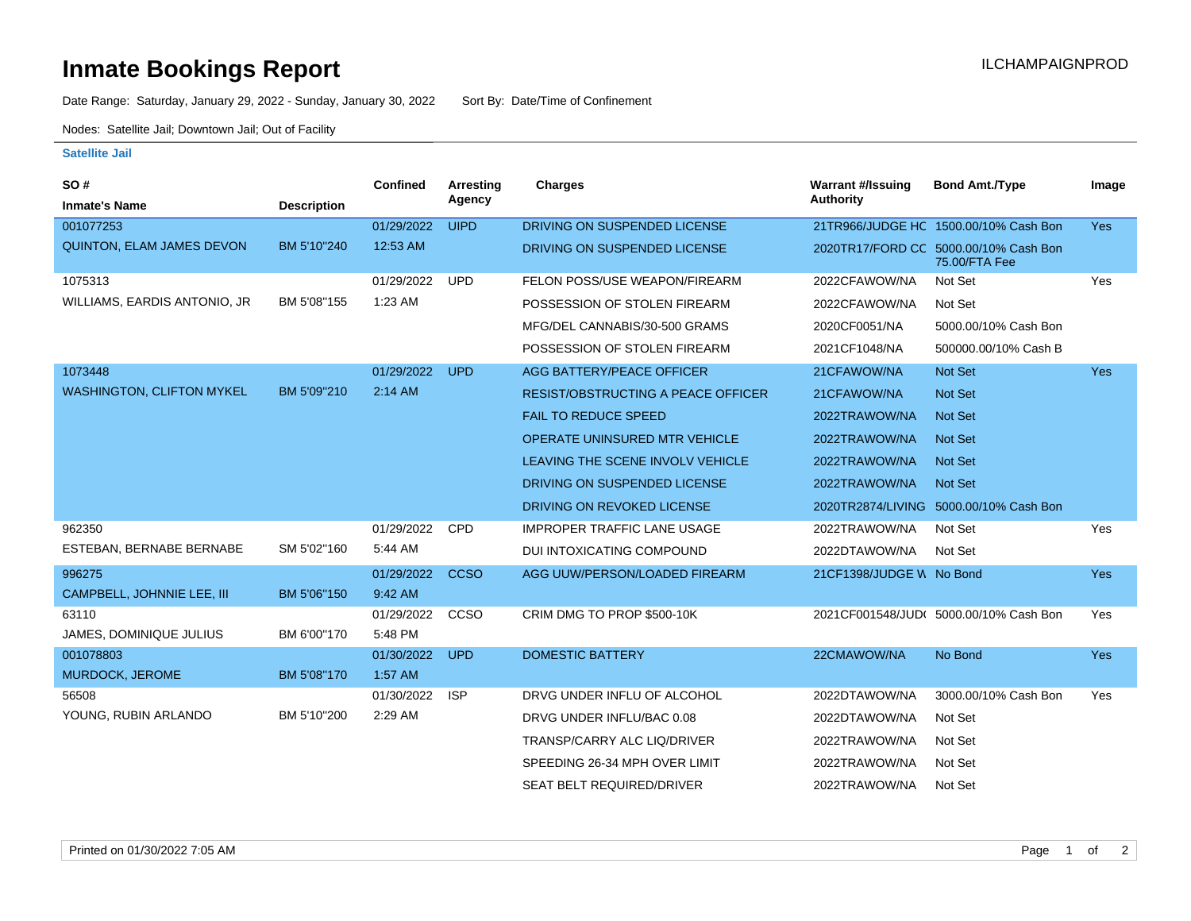## **Inmate Bookings Report International Contract Contract Contract Contract Contract Contract Contract Contract Contract Contract Contract Contract Contract Contract Contract Contract Contract Contract Contract Contract Co**

Date Range: Saturday, January 29, 2022 - Sunday, January 30, 2022 Sort By: Date/Time of Confinement

Nodes: Satellite Jail; Downtown Jail; Out of Facility

## **Satellite Jail**

| SO#<br><b>Inmate's Name</b>      | <b>Description</b> | Confined   | <b>Arresting</b><br>Agency | <b>Charges</b>                            | <b>Warrant #/Issuing</b><br>Authority | <b>Bond Amt./Type</b>                                  | Image      |
|----------------------------------|--------------------|------------|----------------------------|-------------------------------------------|---------------------------------------|--------------------------------------------------------|------------|
| 001077253                        |                    | 01/29/2022 | <b>UIPD</b>                | DRIVING ON SUSPENDED LICENSE              |                                       | 21TR966/JUDGE HC 1500.00/10% Cash Bon                  | <b>Yes</b> |
| QUINTON, ELAM JAMES DEVON        | BM 5'10"240        | 12:53 AM   |                            | DRIVING ON SUSPENDED LICENSE              |                                       | 2020TR17/FORD CC 5000.00/10% Cash Bon<br>75.00/FTA Fee |            |
| 1075313                          |                    | 01/29/2022 | <b>UPD</b>                 | FELON POSS/USE WEAPON/FIREARM             | 2022CFAWOW/NA                         | Not Set                                                | Yes        |
| WILLIAMS, EARDIS ANTONIO, JR     | BM 5'08"155        | 1:23 AM    |                            | POSSESSION OF STOLEN FIREARM              | 2022CFAWOW/NA                         | Not Set                                                |            |
|                                  |                    |            |                            | MFG/DEL CANNABIS/30-500 GRAMS             | 2020CF0051/NA                         | 5000.00/10% Cash Bon                                   |            |
|                                  |                    |            |                            | POSSESSION OF STOLEN FIREARM              | 2021CF1048/NA                         | 500000.00/10% Cash B                                   |            |
| 1073448                          |                    | 01/29/2022 | <b>UPD</b>                 | AGG BATTERY/PEACE OFFICER                 | 21CFAWOW/NA                           | Not Set                                                | <b>Yes</b> |
| <b>WASHINGTON, CLIFTON MYKEL</b> | BM 5'09"210        | 2:14 AM    |                            | <b>RESIST/OBSTRUCTING A PEACE OFFICER</b> | 21CFAWOW/NA                           | <b>Not Set</b>                                         |            |
|                                  |                    |            |                            | <b>FAIL TO REDUCE SPEED</b>               | 2022TRAWOW/NA                         | <b>Not Set</b>                                         |            |
|                                  |                    |            |                            | OPERATE UNINSURED MTR VEHICLE             | 2022TRAWOW/NA                         | <b>Not Set</b>                                         |            |
|                                  |                    |            |                            | LEAVING THE SCENE INVOLV VEHICLE          | 2022TRAWOW/NA                         | <b>Not Set</b>                                         |            |
|                                  |                    |            |                            | DRIVING ON SUSPENDED LICENSE              | 2022TRAWOW/NA                         | <b>Not Set</b>                                         |            |
|                                  |                    |            |                            | DRIVING ON REVOKED LICENSE                |                                       | 2020TR2874/LIVING 5000.00/10% Cash Bon                 |            |
| 962350                           |                    | 01/29/2022 | <b>CPD</b>                 | <b>IMPROPER TRAFFIC LANE USAGE</b>        | 2022TRAWOW/NA                         | Not Set                                                | Yes        |
| ESTEBAN, BERNABE BERNABE         | SM 5'02"160        | 5:44 AM    |                            | DUI INTOXICATING COMPOUND                 | 2022DTAWOW/NA                         | Not Set                                                |            |
| 996275                           |                    | 01/29/2022 | <b>CCSO</b>                | AGG UUW/PERSON/LOADED FIREARM             | 21CF1398/JUDGE W No Bond              |                                                        | <b>Yes</b> |
| CAMPBELL, JOHNNIE LEE, III       | BM 5'06"150        | 9:42 AM    |                            |                                           |                                       |                                                        |            |
| 63110                            |                    | 01/29/2022 | CCSO                       | CRIM DMG TO PROP \$500-10K                |                                       | 2021CF001548/JUD( 5000.00/10% Cash Bon                 | Yes        |
| JAMES, DOMINIQUE JULIUS          | BM 6'00"170        | 5:48 PM    |                            |                                           |                                       |                                                        |            |
| 001078803                        |                    | 01/30/2022 | <b>UPD</b>                 | <b>DOMESTIC BATTERY</b>                   | 22CMAWOW/NA                           | No Bond                                                | <b>Yes</b> |
| MURDOCK, JEROME                  | BM 5'08"170        | 1:57 AM    |                            |                                           |                                       |                                                        |            |
| 56508                            |                    | 01/30/2022 | <b>ISP</b>                 | DRVG UNDER INFLU OF ALCOHOL               | 2022DTAWOW/NA                         | 3000.00/10% Cash Bon                                   | Yes        |
| YOUNG, RUBIN ARLANDO             | BM 5'10"200        | 2:29 AM    |                            | DRVG UNDER INFLU/BAC 0.08                 | 2022DTAWOW/NA                         | Not Set                                                |            |
|                                  |                    |            |                            | TRANSP/CARRY ALC LIQ/DRIVER               | 2022TRAWOW/NA                         | Not Set                                                |            |
|                                  |                    |            |                            | SPEEDING 26-34 MPH OVER LIMIT             | 2022TRAWOW/NA                         | Not Set                                                |            |
|                                  |                    |            |                            | <b>SEAT BELT REQUIRED/DRIVER</b>          | 2022TRAWOW/NA                         | Not Set                                                |            |